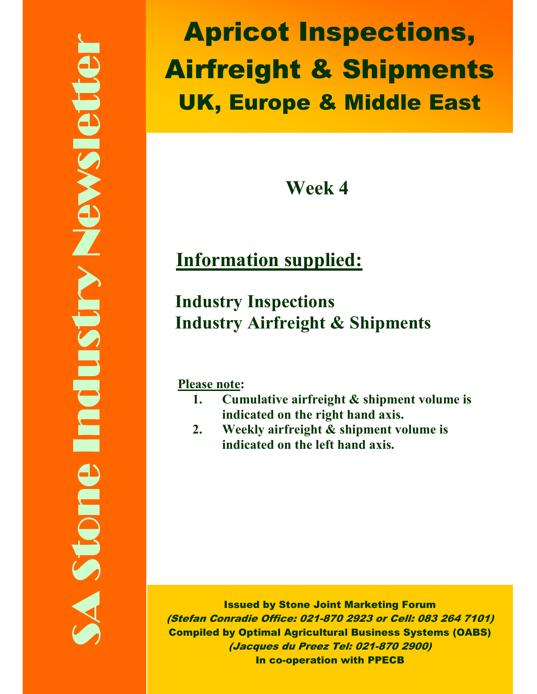Apricot Inspections, Airfreight & Shipments UK, Europe & Middle East

Week 4

# Information supplied:

## Industry Inspections Industry Airfreight & Shipments

Please note:

- 1. Cumulative airfreight & shipment volume is indicated on the right hand axis.
- 2. Weekly airfreight & shipment volume is indicated on the left hand axis.

Issued by Stone Joint Marketing Forum (Stefan Conradie Office: 021-870 2923 or Cell: 083 264 7101) Compiled by Optimal Agricultural Business Systems (OABS) (Jacques du Preez Tel: 021-870 2900) In co-operation with PPECB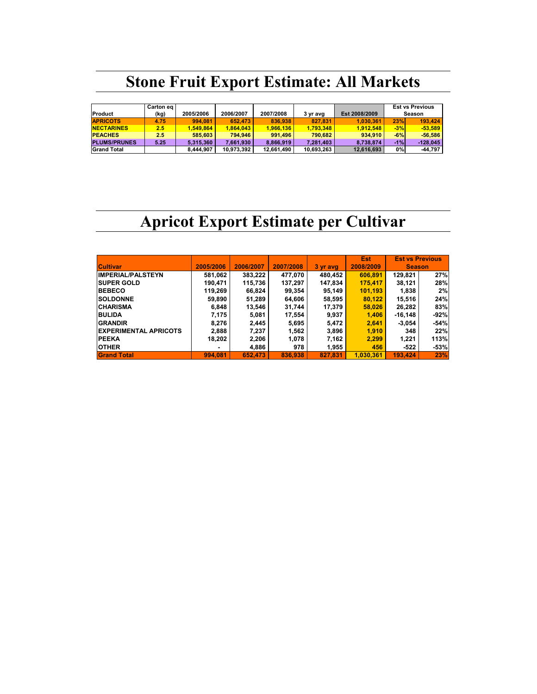# Stone Fruit Export Estimate: All Markets

|                     | Carton eq |           |            |            |            |               |       | <b>Est vs Previous</b> |
|---------------------|-----------|-----------|------------|------------|------------|---------------|-------|------------------------|
| Product             | (kg)      | 2005/2006 | 2006/2007  | 2007/2008  | 3 yr avg   | Est 2008/2009 |       | Season                 |
| <b>APRICOTS</b>     | 4.75      | 994.081   | 652.473    | 836.938    | 827.831    | 1.030.361     | 23%   | 193.424                |
| <b>NECTARINES</b>   | 2.5       | 1.549.864 | 1.864.043  | 1.966.136  | 1.793.348  | 1.912.548     | $-3%$ | $-53.589$              |
| <b>PEACHES</b>      | 2.5       | 585.603   | 794.946    | 991.496    | 790.682    | 934.910       | $-6%$ | $-56.586$              |
| <b>PLUMS/PRUNES</b> | 5.25      | 5.315.360 | 7.661.930  | 8.866.919  | 7.281.403  | 8.738.874     | $-1%$ | $-128.045$             |
| <b>Grand Total</b>  |           | 8.444.907 | 10.973.392 | 12,661,490 | 10.693.263 | 12,616,693    | 0%    | $-44.797$              |

### Apricot Export Estimate per Cultivar

|                              |           |           |           |          | Est <sub>1</sub> | <b>Est vs Previous</b> |        |
|------------------------------|-----------|-----------|-----------|----------|------------------|------------------------|--------|
| <b>Cultivar</b>              | 2005/2006 | 2006/2007 | 2007/2008 | 3 yr avg | 2008/2009        | <b>Season</b>          |        |
| <b>IMPERIAL/PALSTEYN</b>     | 581,062   | 383,222   | 477,070   | 480,452  | 606.891          | 129,821                | 27%    |
| <b>SUPER GOLD</b>            | 190.471   | 115,736   | 137,297   | 147,834  | 175.417          | 38,121                 | 28%    |
| <b>BEBECO</b>                | 119,269   | 66,824    | 99,354    | 95,149   | 101,193          | 1,838                  | 2%     |
| <b>SOLDONNE</b>              | 59,890    | 51,289    | 64,606    | 58,595   | 80.122           | 15,516                 | 24%    |
| <b>CHARISMA</b>              | 6,848     | 13,546    | 31,744    | 17,379   | 58,026           | 26.282                 | 83%    |
| <b>BULIDA</b>                | 7,175     | 5.081     | 17,554    | 9,937    | 1.406            | $-16.148$              | $-92%$ |
| <b>GRANDIR</b>               | 8,276     | 2,445     | 5,695     | 5,472    | 2,641            | $-3.054$               | -54%   |
| <b>EXPERIMENTAL APRICOTS</b> | 2,888     | 7,237     | 1,562     | 3,896    | 1,910            | 348                    | 22%    |
| <b>PEEKA</b>                 | 18,202    | 2,206     | 1,078     | 7,162    | 2,299            | 1,221                  | 113%   |
| <b>OTHER</b>                 |           | 4,886     | 978       | 1,955    | 456              | -522                   | $-53%$ |
| <b>Grand Total</b>           | 994.081   | 652.473   | 836.938   | 827.831  | 1.030.361        | 193.424                | 23%    |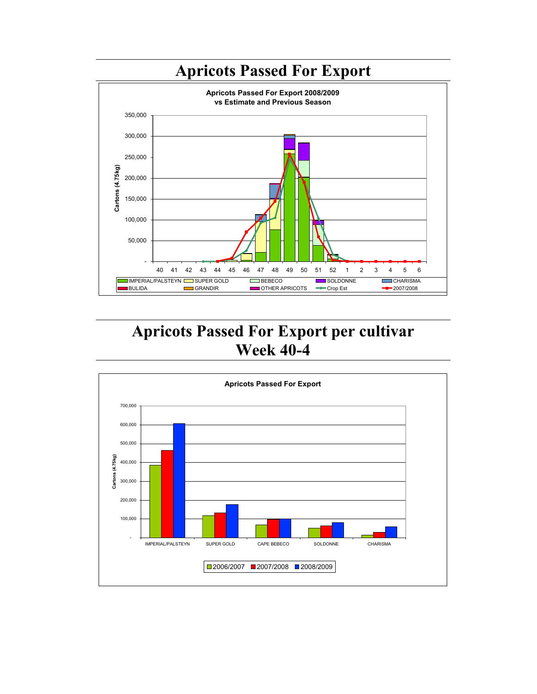

#### Apricots Passed For Export per cultivar Week 40-4

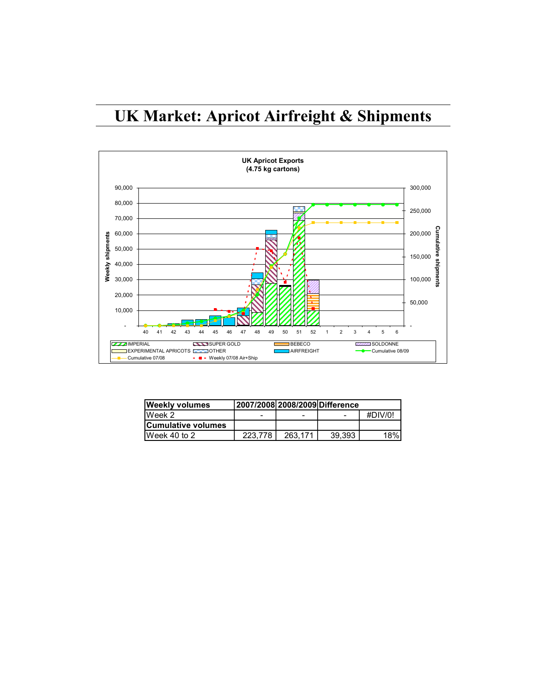### UK Market: Apricot Airfreight & Shipments



| <b>Weekly volumes</b>     | 2007/2008 2008/2009 Difference |         |        |         |  |
|---------------------------|--------------------------------|---------|--------|---------|--|
| Week 2                    |                                |         |        | #DIV/0! |  |
| <b>Cumulative volumes</b> |                                |         |        |         |  |
| Week 40 to 2              | 223.778                        | 263.171 | 39.393 | 18%l    |  |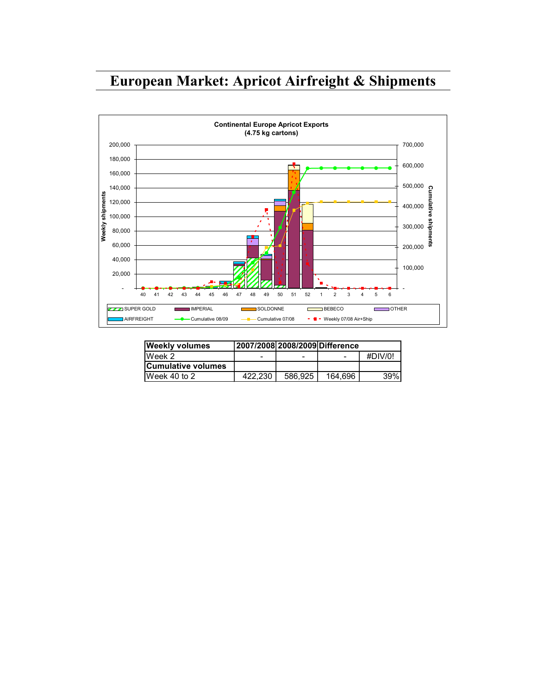#### European Market: Apricot Airfreight & Shipments



| <b>Weekly volumes</b>     |         |         | 2007/2008 2008 2009 Difference |         |  |
|---------------------------|---------|---------|--------------------------------|---------|--|
| Week 2                    | -       | -       | $\qquad \qquad \blacksquare$   | #DIV/0! |  |
| <b>Cumulative volumes</b> |         |         |                                |         |  |
| Week 40 to 2              | 422.230 | 586.925 | 164.696                        | 39%     |  |